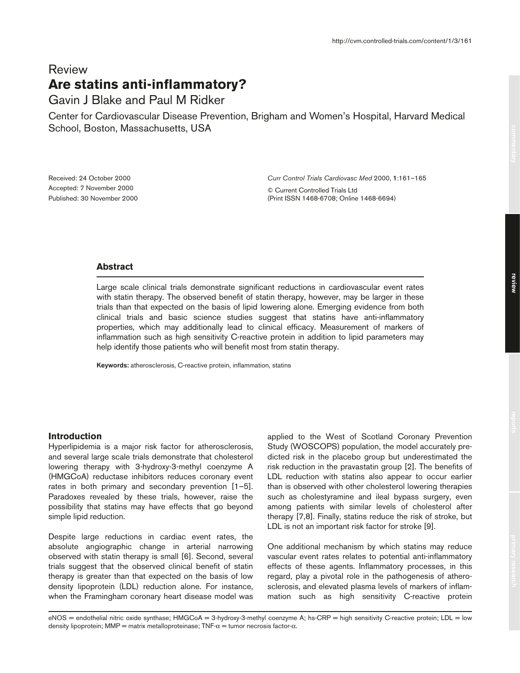# Review **Are statins anti-inflammatory?**

# Gavin J Blake and Paul M Ridker

Center for Cardiovascular Disease Prevention, Brigham and Women's Hospital, Harvard Medical School, Boston, Massachusetts, USA

Received: 24 October 2000 Accepted: 7 November 2000 Published: 30 November 2000 *Curr Control Trials Cardiovasc Med* 2000, **1**:161–165

© Current Controlled Trials Ltd (Print ISSN 1468-6708; Online 1468-6694)

### **Abstract**

Large scale clinical trials demonstrate significant reductions in cardiovascular event rates with statin therapy. The observed benefit of statin therapy, however, may be larger in these trials than that expected on the basis of lipid lowering alone. Emerging evidence from both clinical trials and basic science studies suggest that statins have anti-inflammatory properties, which may additionally lead to clinical efficacy. Measurement of markers of inflammation such as high sensitivity C-reactive protein in addition to lipid parameters may help identify those patients who will benefit most from statin therapy.

**Keywords:** atherosclerosis, C-reactive protein, inflammation, statins

# **Introduction**

Hyperlipidemia is a major risk factor for atherosclerosis, and several large scale trials demonstrate that cholesterol lowering therapy with 3-hydroxy-3-methyl coenzyme A (HMGCoA) reductase inhibitors reduces coronary event rates in both primary and secondary prevention [1–5]. Paradoxes revealed by these trials, however, raise the possibility that statins may have effects that go beyond simple lipid reduction.

Despite large reductions in cardiac event rates, the absolute angiographic change in arterial narrowing observed with statin therapy is small [6]. Second, several trials suggest that the observed clinical benefit of statin therapy is greater than that expected on the basis of low density lipoprotein (LDL) reduction alone. For instance, when the Framingham coronary heart disease model was

applied to the West of Scotland Coronary Prevention Study (WOSCOPS) population, the model accurately predicted risk in the placebo group but underestimated the risk reduction in the pravastatin group [2]. The benefits of LDL reduction with statins also appear to occur earlier than is observed with other cholesterol lowering therapies such as cholestyramine and ileal bypass surgery, even among patients with similar levels of cholesterol after therapy [7,8]. Finally, statins reduce the risk of stroke, but LDL is not an important risk factor for stroke [9].

One additional mechanism by which statins may reduce vascular event rates relates to potential anti-inflammatory effects of these agents. Inflammatory processes, in this regard, play a pivotal role in the pathogenesis of atherosclerosis, and elevated plasma levels of markers of inflammation such as high sensitivity C-reactive protein

eNOS = endothelial nitric oxide synthase; HMGCoA = 3-hydroxy-3-methyl coenzyme A; hs-CRP = high sensitivity C-reactive protein; LDL = low density lipoprotein; MMP = matrix metalloproteinase; TNF- $α$  = tumor necrosis factor- $α$ .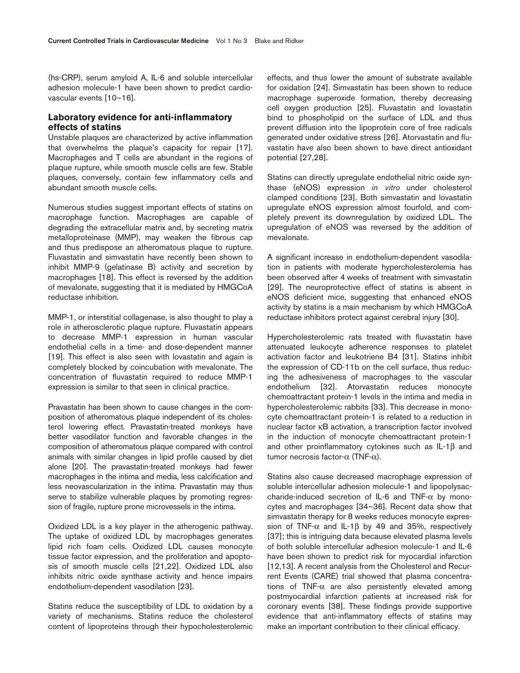(hs-CRP), serum amyloid A, IL-6 and soluble intercellular adhesion molecule-1 have been shown to predict cardiovascular events [10–16].

## **Laboratory evidence for anti-inflammatory effects of statins**

Unstable plaques are characterized by active inflammation that overwhelms the plaque's capacity for repair [17]. Macrophages and T cells are abundant in the regions of plaque rupture, while smooth muscle cells are few. Stable plaques, conversely, contain few inflammatory cells and abundant smooth muscle cells.

Numerous studies suggest important effects of statins on macrophage function. Macrophages are capable of degrading the extracellular matrix and, by secreting matrix metalloproteinase (MMP), may weaken the fibrous cap and thus predispose an atheromatous plaque to rupture. Fluvastatin and simvastatin have recently been shown to inhibit MMP-9 (gelatinase B) activity and secretion by macrophages [18]. This effect is reversed by the addition of mevalonate, suggesting that it is mediated by HMGCoA reductase inhibition.

MMP-1, or interstitial collagenase, is also thought to play a role in atherosclerotic plaque rupture. Fluvastatin appears to decrease MMP-1 expression in human vascular endothelial cells in a time- and dose-dependent manner [19]. This effect is also seen with lovastatin and again is completely blocked by coincubation with mevalonate. The concentration of fluvastatin required to reduce MMP-1 expression is similar to that seen in clinical practice.

Pravastatin has been shown to cause changes in the composition of atheromatous plaque independent of its cholesterol lowering effect. Pravastatin-treated monkeys have better vasodilator function and favorable changes in the composition of atheromatous plaque compared with control animals with similar changes in lipid profile caused by diet alone [20]. The pravastatin-treated monkeys had fewer macrophages in the intima and media, less calcification and less neovascularization in the intima. Pravastatin may thus serve to stabilize vulnerable plaques by promoting regression of fragile, rupture prone microvessels in the intima.

Oxidized LDL is a key player in the atherogenic pathway. The uptake of oxidized LDL by macrophages generates lipid rich foam cells. Oxidized LDL causes monocyte tissue factor expression, and the proliferation and apoptosis of smooth muscle cells [21,22]. Oxidized LDL also inhibits nitric oxide synthase activity and hence impairs endothelium-dependent vasodilation [23].

Statins reduce the susceptibility of LDL to oxidation by a variety of mechanisms. Statins reduce the cholesterol content of lipoproteins through their hypocholesterolemic effects, and thus lower the amount of substrate available for oxidation [24]. Simvastatin has been shown to reduce macrophage superoxide formation, thereby decreasing cell oxygen production [25]. Fluvastatin and lovastatin bind to phospholipid on the surface of LDL and thus prevent diffusion into the lipoprotein core of free radicals generated under oxidative stress [26]. Atorvastatin and fluvastatin have also been shown to have direct antioxidant potential [27,28].

Statins can directly upregulate endothelial nitric oxide synthase (eNOS) expression *in vitro* under cholesterol clamped conditions [23]. Both simvastatin and lovastatin upregulate eNOS expression almost fourfold, and completely prevent its downregulation by oxidized LDL. The upregulation of eNOS was reversed by the addition of mevalonate.

A significant increase in endothelium-dependent vasodilation in patients with moderate hypercholesterolemia has been observed after 4 weeks of treatment with simvastatin [29]. The neuroprotective effect of statins is absent in eNOS deficient mice, suggesting that enhanced eNOS activity by statins is a main mechanism by which HMGCoA reductase inhibitors protect against cerebral injury [30].

Hypercholesterolemic rats treated with fluvastatin have attenuated leukocyte adherence responses to platelet activation factor and leukotriene B4 [31]. Statins inhibit the expression of CD-11b on the cell surface, thus reducing the adhesiveness of macrophages to the vascular endothelium [32]. Atorvastatin reduces monocyte chemoattractant protein-1 levels in the intima and media in hypercholesterolemic rabbits [33]. This decrease in monocyte chemoattractant protein-1 is related to a reduction in nuclear factor κB activation, a transcription factor involved in the induction of monocyte chemoattractant protein-1 and other proinflammatory cytokines such as IL-1β and tumor necrosis factor-α (TNF-α).

Statins also cause decreased macrophage expression of soluble intercellular adhesion molecule-1 and lipopolysaccharide-induced secretion of IL-6 and TNF-α by monocytes and macrophages [34–36]. Recent data show that simvastatin therapy for 8 weeks reduces monocyte expression of TNF- $\alpha$  and IL-1β by 49 and 35%, respectively [37]; this is intriguing data because elevated plasma levels of both soluble intercellular adhesion molecule-1 and IL-6 have been shown to predict risk for myocardial infarction [12,13]. A recent analysis from the Cholesterol and Recurrent Events (CARE) trial showed that plasma concentrations of TNF- $\alpha$  are also persistently elevated among postmyocardial infarction patients at increased risk for coronary events [38]. These findings provide supportive evidence that anti-inflammatory effects of statins may make an important contribution to their clinical efficacy.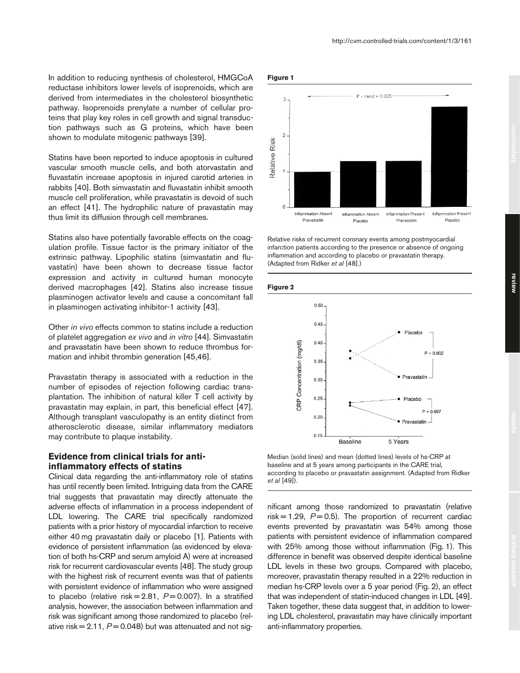In addition to reducing synthesis of cholesterol, HMGCoA reductase inhibitors lower levels of isoprenoids, which are derived from intermediates in the cholesterol biosynthetic pathway. Isoprenoids prenylate a number of cellular proteins that play key roles in cell growth and signal transduction pathways such as G proteins, which have been shown to modulate mitogenic pathways [39].

Statins have been reported to induce apoptosis in cultured vascular smooth muscle cells, and both atorvastatin and fluvastatin increase apoptosis in injured carotid arteries in rabbits [40]. Both simvastatin and fluvastatin inhibit smooth muscle cell proliferation, while pravastatin is devoid of such an effect [41]. The hydrophilic nature of pravastatin may thus limit its diffusion through cell membranes.

Statins also have potentially favorable effects on the coagulation profile. Tissue factor is the primary initiator of the extrinsic pathway. Lipophilic statins (simvastatin and fluvastatin) have been shown to decrease tissue factor expression and activity in cultured human monocyte derived macrophages [42]. Statins also increase tissue plasminogen activator levels and cause a concomitant fall in plasminogen activating inhibitor-1 activity [43].

Other *in vivo* effects common to statins include a reduction of platelet aggregation *ex vivo* and *in vitro* [44]. Simvastatin and pravastatin have been shown to reduce thrombus formation and inhibit thrombin generation [45,46].

Pravastatin therapy is associated with a reduction in the number of episodes of rejection following cardiac transplantation. The inhibition of natural killer T cell activity by pravastatin may explain, in part, this beneficial effect [47]. Although transplant vasculopathy is an entity distinct from atherosclerotic disease, similar inflammatory mediators may contribute to plaque instability.

# **Evidence from clinical trials for antiinflammatory effects of statins**

Clinical data regarding the anti-inflammatory role of statins has until recently been limited. Intriguing data from the CARE trial suggests that pravastatin may directly attenuate the adverse effects of inflammation in a process independent of LDL lowering. The CARE trial specifically randomized patients with a prior history of myocardial infarction to receive either 40 mg pravastatin daily or placebo [1]. Patients with evidence of persistent inflammation (as evidenced by elevation of both hs-CRP and serum amyloid A) were at increased risk for recurrent cardiovascular events [48]. The study group with the highest risk of recurrent events was that of patients with persistent evidence of inflammation who were assigned to placebo (relative risk =  $2.81, P = 0.007$ ). In a stratified analysis, however, the association between inflammation and risk was significant among those randomized to placebo (relative risk  $= 2.11$ ,  $P = 0.048$ ) but was attenuated and not sig-





Relative risks of recurrent coronary events among postmyocardial infarction patients according to the presence or absence of ongoing inflammation and according to placebo or pravastatin therapy. (Adapted from Ridker *et al* [48].)





Median (solid lines) and mean (dotted lines) levels of hs-CRP at baseline and at 5 years among participants in the CARE trial, according to placebo or pravastatin assignment. (Adapted from Ridker *et al* [49]).

nificant among those randomized to pravastatin (relative  $risk = 1.29$ ,  $P = 0.5$ ). The proportion of recurrent cardiac events prevented by pravastatin was 54% among those patients with persistent evidence of inflammation compared with 25% among those without inflammation (Fig. 1). This difference in benefit was observed despite identical baseline LDL levels in these two groups. Compared with placebo, moreover, pravastatin therapy resulted in a 22% reduction in median hs-CRP levels over a 5 year period (Fig. 2), an effect that was independent of statin-induced changes in LDL [49]. Taken together, these data suggest that, in addition to lowering LDL cholesterol, pravastatin may have clinically important anti-inflammatory properties.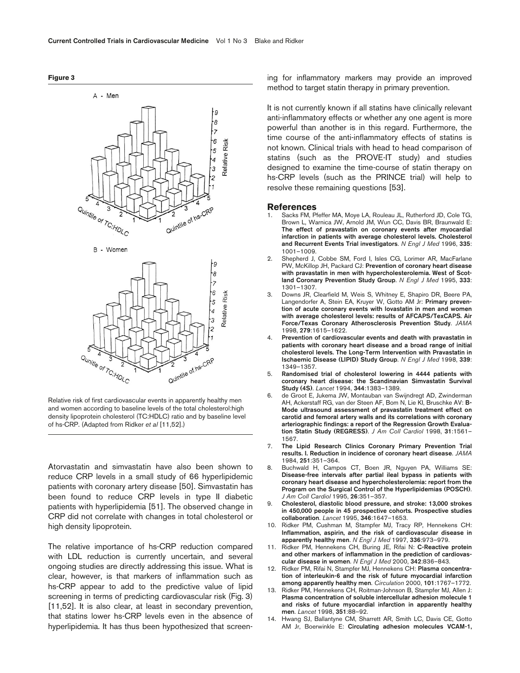

Relative risk of first cardiovascular events in apparently healthy men and women according to baseline levels of the total cholesterol:high density lipoprotein cholesterol (TC:HDLC) ratio and by baseline level of hs-CRP. (Adapted from Ridker *et al* [11,52].)

Qunitle of TC: HDLC

 $\overline{\mathcal{L}}$ 

Quintile of hs-CRP

Atorvastatin and simvastatin have also been shown to reduce CRP levels in a small study of 66 hyperlipidemic patients with coronary artery disease [50]. Simvastatin has been found to reduce CRP levels in type II diabetic patients with hyperlipidemia [51]. The observed change in CRP did not correlate with changes in total cholesterol or high density lipoprotein.

The relative importance of hs-CRP reduction compared with LDL reduction is currently uncertain, and several ongoing studies are directly addressing this issue. What is clear, however, is that markers of inflammation such as hs-CRP appear to add to the predictive value of lipid screening in terms of predicting cardiovascular risk (Fig. 3) [11,52]. It is also clear, at least in secondary prevention, that statins lower hs-CRP levels even in the absence of hyperlipidemia. It has thus been hypothesized that screening for inflammatory markers may provide an improved method to target statin therapy in primary prevention.

It is not currently known if all statins have clinically relevant anti-inflammatory effects or whether any one agent is more powerful than another is in this regard. Furthermore, the time course of the anti-inflammatory effects of statins is not known. Clinical trials with head to head comparison of statins (such as the PROVE-IT study) and studies designed to examine the time-course of statin therapy on hs-CRP levels (such as the PRINCE trial) will help to resolve these remaining questions [53].

#### **References**

- 1. Sacks FM, Pfeffer MA, Moye LA, Rouleau JL, Rutherford JD, Cole TG, Brown L, Warnica JW, Arnold JM, Wun CC, Davis BR, Braunwald E: **The effect of pravastatin on coronary events after myocardial infarction in patients with average cholesterol levels. Cholesterol and Recurrent Events Trial investigators**. *N Engl J Med* 1996, **335**: 1001–1009.
- 2. Shepherd J, Cobbe SM, Ford I, Isles CG, Lorimer AR, MacFarlane PW, McKillop JH, Packard CJ: **Prevention of coronary heart disease with pravastatin in men with hypercholesterolemia. West of Scotland Coronary Prevention Study Group**. *N Engl J Med* 1995, **333**: 1301–1307.
- 3. Downs JR, Clearfield M, Weis S, Whitney E, Shapiro DR, Beere PA, Langendorfer A, Stein EA, Kruyer W, Gotto AM Jr: **Primary prevention of acute coronary events with lovastatin in men and women with average cholesterol levels: results of AFCAPS/TexCAPS. Air Force/Texas Coronary Atherosclerosis Prevention Study**. *JAMA* 1998, **279**:1615–1622.
- 4. **Prevention of cardiovascular events and death with pravastatin in patients with coronary heart disease and a broad range of initial cholesterol levels. The Long-Term Intervention with Pravastatin in Ischaemic Disease (LIPID) Study Group**. *N Engl J Med* 1998, **339**: 1349–1357.
- 5. **Randomised trial of cholesterol lowering in 4444 patients with coronary heart disease: the Scandinavian Simvastatin Survival Study (4S)**. *Lancet* 1994, **344**:1383–1389.
- 6. de Groot E, Jukema JW, Montauban van Swijndregt AD, Zwinderman AH, Ackerstaff RG, van der Steen AF, Bom N, Lie KI, Bruschke AV: **B-Mode ultrasound assessment of pravastatin treatment effect on carotid and femoral artery walls and its correlations with coronary arteriographic findings: a report of the Regression Growth Evaluation Statin Study (REGRESS)**. *J Am Coll Cardiol* 1998, **31**:1561– 1567.
- 7. **The Lipid Research Clinics Coronary Primary Prevention Trial results. I. Reduction in incidence of coronary heart disease**. *JAMA* 1984, **251**:351–364.
- 8. Buchwald H, Campos CT, Boen JR, Nguyen PA, Williams SE: **Disease-free intervals after partial ileal bypass in patients with coronary heart disease and hypercholesterolemia: report from the Program on the Surgical Control of the Hyperlipidemias (POSCH)**. *J Am Coll Cardiol* 1995, **26**:351–357.
- 9. **Cholesterol, diastolic blood pressure, and stroke: 13,000 strokes in 450,000 people in 45 prospective cohorts. Prospective studies collaboration**. *Lancet* 1995, **346**:1647–1653.
- 10. Ridker PM, Cushman M, Stampfer MJ, Tracy RP, Hennekens CH: **Inflammation, aspirin, and the risk of cardiovascular disease in apparently healthy men**. *N Engl J Med* 1997, **336**:973–979.
- 11. Ridker PM, Hennekens CH, Buring JE, Rifai N: **C-Reactive protein and other markers of inflammation in the prediction of cardiovascular disease in women**. *N Engl J Med* 2000, **342**:836–843.
- 12. Ridker PM, Rifai N, Stampfer MJ, Hennekens CH: **Plasma concentration of interleukin-6 and the risk of future myocardial infarction among apparently healthy men**. *Circulation* 2000, **101**:1767–1772.
- 13. Ridker PM, Hennekens CH, Roitman-Johnson B, Stampfer MJ, Allen J: **Plasma concentration of soluble intercellular adhesion molecule 1 and risks of future myocardial infarction in apparently healthy men**. *Lancet* 1998, **351**:88–92.
- 14. Hwang SJ, Ballantyne CM, Sharrett AR, Smith LC, Davis CE, Gotto AM Jr, Boerwinkle E: **Circulating adhesion molecules VCAM-1,**